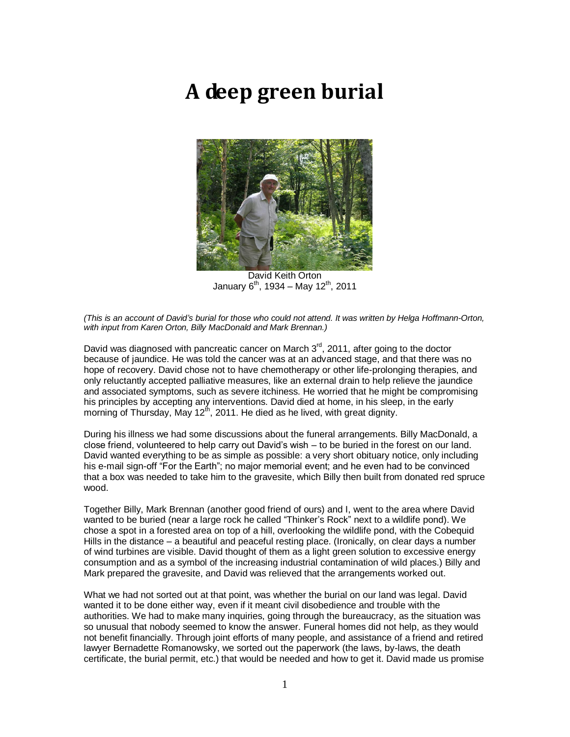# **A deep green burial**



David Keith Orton January  $6^{th}$ , 1934 – May 12<sup>th</sup>, 2011

*(This is an account of David's burial for those who could not attend. It was written by Helga Hoffmann-Orton, with input from Karen Orton, Billy MacDonald and Mark Brennan.)* 

David was diagnosed with pancreatic cancer on March  $3<sup>rd</sup>$ , 2011, after going to the doctor because of jaundice. He was told the cancer was at an advanced stage, and that there was no hope of recovery. David chose not to have chemotherapy or other life-prolonging therapies, and only reluctantly accepted palliative measures, like an external drain to help relieve the jaundice and associated symptoms, such as severe itchiness. He worried that he might be compromising his principles by accepting any interventions. David died at home, in his sleep, in the early morning of Thursday, May 12<sup>th</sup>, 2011. He died as he lived, with great dignity.

During his illness we had some discussions about the funeral arrangements. Billy MacDonald, a close friend, volunteered to help carry out David"s wish – to be buried in the forest on our land. David wanted everything to be as simple as possible: a very short obituary notice, only including his e-mail sign-off "For the Earth"; no major memorial event; and he even had to be convinced that a box was needed to take him to the gravesite, which Billy then built from donated red spruce wood.

Together Billy, Mark Brennan (another good friend of ours) and I, went to the area where David wanted to be buried (near a large rock he called "Thinker"s Rock" next to a wildlife pond). We chose a spot in a forested area on top of a hill, overlooking the wildlife pond, with the Cobequid Hills in the distance – a beautiful and peaceful resting place. (Ironically, on clear days a number of wind turbines are visible. David thought of them as a light green solution to excessive energy consumption and as a symbol of the increasing industrial contamination of wild places.) Billy and Mark prepared the gravesite, and David was relieved that the arrangements worked out.

What we had not sorted out at that point, was whether the burial on our land was legal. David wanted it to be done either way, even if it meant civil disobedience and trouble with the authorities. We had to make many inquiries, going through the bureaucracy, as the situation was so unusual that nobody seemed to know the answer. Funeral homes did not help, as they would not benefit financially. Through joint efforts of many people, and assistance of a friend and retired lawyer Bernadette Romanowsky, we sorted out the paperwork (the laws, by-laws, the death certificate, the burial permit, etc.) that would be needed and how to get it. David made us promise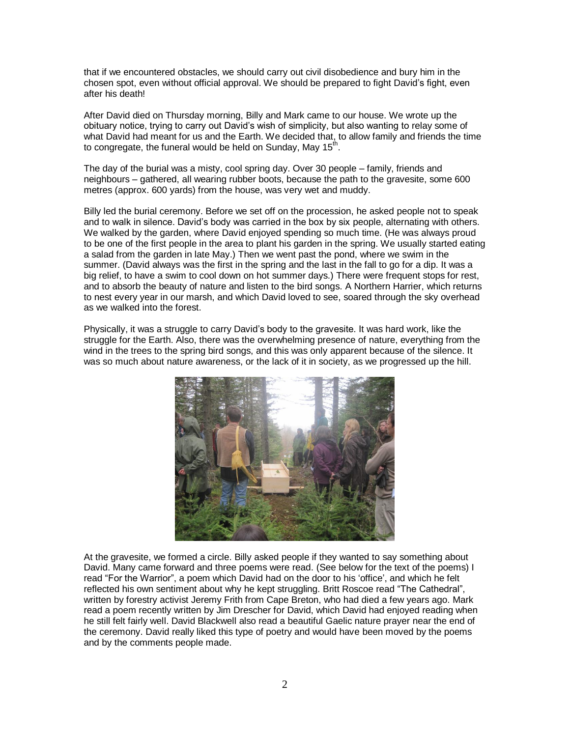that if we encountered obstacles, we should carry out civil disobedience and bury him in the chosen spot, even without official approval. We should be prepared to fight David"s fight, even after his death!

After David died on Thursday morning, Billy and Mark came to our house. We wrote up the obituary notice, trying to carry out David"s wish of simplicity, but also wanting to relay some of what David had meant for us and the Earth. We decided that, to allow family and friends the time to congregate, the funeral would be held on Sunday, May 15<sup>th</sup>.

The day of the burial was a misty, cool spring day. Over 30 people – family, friends and neighbours – gathered, all wearing rubber boots, because the path to the gravesite, some 600 metres (approx. 600 yards) from the house, was very wet and muddy.

Billy led the burial ceremony. Before we set off on the procession, he asked people not to speak and to walk in silence. David"s body was carried in the box by six people, alternating with others. We walked by the garden, where David enjoyed spending so much time. (He was always proud to be one of the first people in the area to plant his garden in the spring. We usually started eating a salad from the garden in late May.) Then we went past the pond, where we swim in the summer. (David always was the first in the spring and the last in the fall to go for a dip. It was a big relief, to have a swim to cool down on hot summer days.) There were frequent stops for rest, and to absorb the beauty of nature and listen to the bird songs. A Northern Harrier, which returns to nest every year in our marsh, and which David loved to see, soared through the sky overhead as we walked into the forest.

Physically, it was a struggle to carry David"s body to the gravesite. It was hard work, like the struggle for the Earth. Also, there was the overwhelming presence of nature, everything from the wind in the trees to the spring bird songs, and this was only apparent because of the silence. It was so much about nature awareness, or the lack of it in society, as we progressed up the hill.



At the gravesite, we formed a circle. Billy asked people if they wanted to say something about David. Many came forward and three poems were read. (See below for the text of the poems) I read "For the Warrior", a poem which David had on the door to his "office", and which he felt reflected his own sentiment about why he kept struggling. Britt Roscoe read "The Cathedral", written by forestry activist Jeremy Frith from Cape Breton, who had died a few years ago. Mark read a poem recently written by Jim Drescher for David, which David had enjoyed reading when he still felt fairly well. David Blackwell also read a beautiful Gaelic nature prayer near the end of the ceremony. David really liked this type of poetry and would have been moved by the poems and by the comments people made.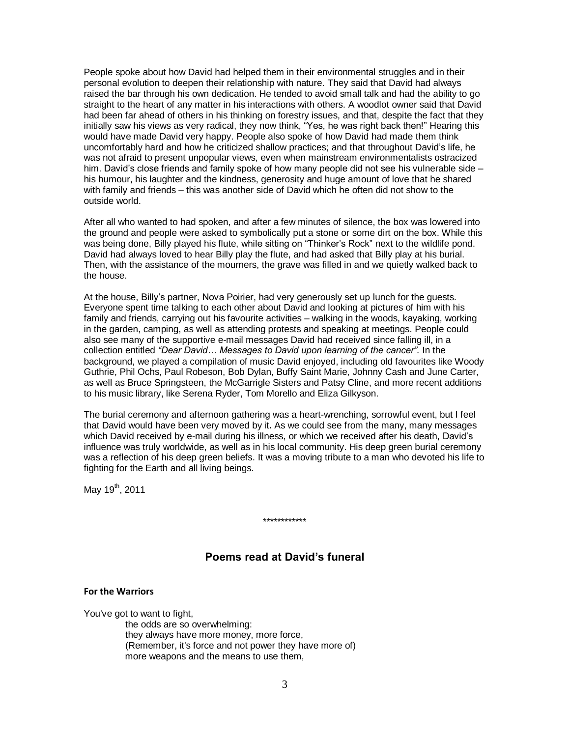People spoke about how David had helped them in their environmental struggles and in their personal evolution to deepen their relationship with nature. They said that David had always raised the bar through his own dedication. He tended to avoid small talk and had the ability to go straight to the heart of any matter in his interactions with others. A woodlot owner said that David had been far ahead of others in his thinking on forestry issues, and that, despite the fact that they initially saw his views as very radical, they now think, "Yes, he was right back then!" Hearing this would have made David very happy. People also spoke of how David had made them think uncomfortably hard and how he criticized shallow practices; and that throughout David"s life, he was not afraid to present unpopular views, even when mainstream environmentalists ostracized him. David's close friends and family spoke of how many people did not see his vulnerable side his humour, his laughter and the kindness, generosity and huge amount of love that he shared with family and friends – this was another side of David which he often did not show to the outside world.

After all who wanted to had spoken, and after a few minutes of silence, the box was lowered into the ground and people were asked to symbolically put a stone or some dirt on the box. While this was being done, Billy played his flute, while sitting on "Thinker"s Rock" next to the wildlife pond. David had always loved to hear Billy play the flute, and had asked that Billy play at his burial. Then, with the assistance of the mourners, the grave was filled in and we quietly walked back to the house.

At the house, Billy"s partner, Nova Poirier, had very generously set up lunch for the guests. Everyone spent time talking to each other about David and looking at pictures of him with his family and friends, carrying out his favourite activities – walking in the woods, kayaking, working in the garden, camping, as well as attending protests and speaking at meetings. People could also see many of the supportive e-mail messages David had received since falling ill, in a collection entitled *"Dear David… Messages to David upon learning of the cancer".* In the background, we played a compilation of music David enjoyed, including old favourites like Woody Guthrie, Phil Ochs, Paul Robeson, Bob Dylan, Buffy Saint Marie, Johnny Cash and June Carter, as well as Bruce Springsteen, the McGarrigle Sisters and Patsy Cline, and more recent additions to his music library, like Serena Ryder, Tom Morello and Eliza Gilkyson.

The burial ceremony and afternoon gathering was a heart-wrenching, sorrowful event, but I feel that David would have been very moved by it**.** As we could see from the many, many messages which David received by e-mail during his illness, or which we received after his death, David"s influence was truly worldwide, as well as in his local community. His deep green burial ceremony was a reflection of his deep green beliefs. It was a moving tribute to a man who devoted his life to fighting for the Earth and all living beings.

May 19<sup>th</sup>, 2011

#### \*\*\*\*\*\*\*\*\*\*\*\*

# **Poems read at David's funeral**

#### **For the Warriors**

You've got to want to fight, the odds are so overwhelming: they always have more money, more force, (Remember, it's force and not power they have more of) more weapons and the means to use them,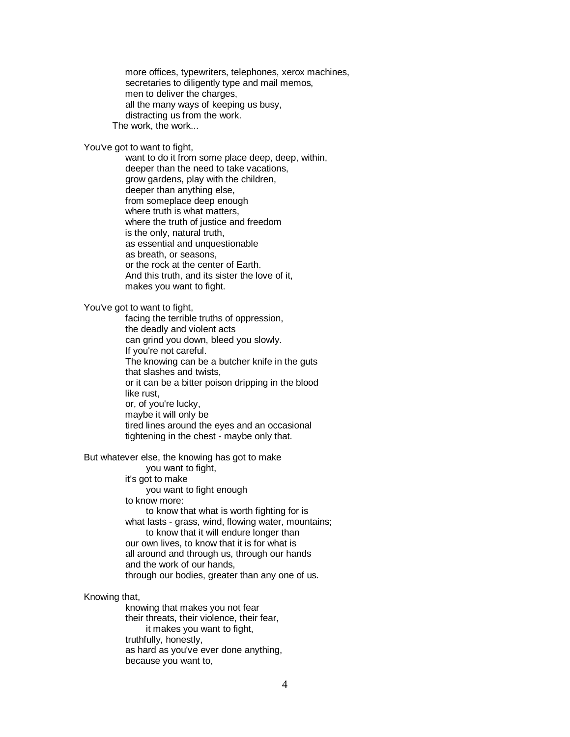more offices, typewriters, telephones, xerox machines, secretaries to diligently type and mail memos, men to deliver the charges. all the many ways of keeping us busy, distracting us from the work. The work, the work...

You've got to want to fight,

 want to do it from some place deep, deep, within, deeper than the need to take vacations, grow gardens, play with the children, deeper than anything else, from someplace deep enough where truth is what matters, where the truth of justice and freedom is the only, natural truth, as essential and unquestionable as breath, or seasons, or the rock at the center of Earth. And this truth, and its sister the love of it, makes you want to fight.

You've got to want to fight,

 facing the terrible truths of oppression, the deadly and violent acts can grind you down, bleed you slowly. If you're not careful. The knowing can be a butcher knife in the guts that slashes and twists, or it can be a bitter poison dripping in the blood like rust, or, of you're lucky, maybe it will only be tired lines around the eyes and an occasional tightening in the chest - maybe only that.

But whatever else, the knowing has got to make

 you want to fight, it's got to make you want to fight enough to know more: to know that what is worth fighting for is what lasts - grass, wind, flowing water, mountains; to know that it will endure longer than our own lives, to know that it is for what is all around and through us, through our hands and the work of our hands,

through our bodies, greater than any one of us.

Knowing that,

 knowing that makes you not fear their threats, their violence, their fear, it makes you want to fight, truthfully, honestly, as hard as you've ever done anything, because you want to,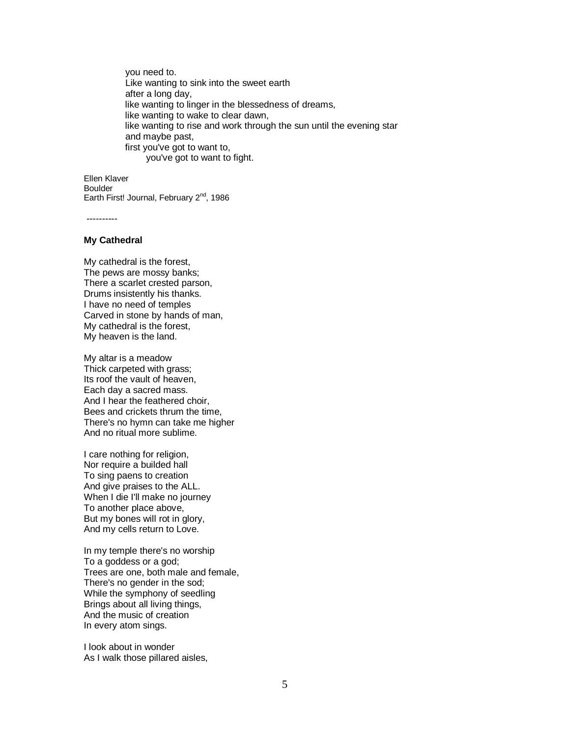you need to. Like wanting to sink into the sweet earth after a long day, like wanting to linger in the blessedness of dreams, like wanting to wake to clear dawn, like wanting to rise and work through the sun until the evening star and maybe past, first you've got to want to, you've got to want to fight.

Ellen Klaver **Boulder** Earth First! Journal, February 2<sup>nd</sup>, 1986

----------

### **My Cathedral**

My cathedral is the forest, The pews are mossy banks; There a scarlet crested parson, Drums insistently his thanks. I have no need of temples Carved in stone by hands of man, My cathedral is the forest, My heaven is the land.

My altar is a meadow Thick carpeted with grass; Its roof the vault of heaven, Each day a sacred mass. And I hear the feathered choir, Bees and crickets thrum the time, There's no hymn can take me higher And no ritual more sublime.

I care nothing for religion, Nor require a builded hall To sing paens to creation And give praises to the ALL. When I die I'll make no journey To another place above, But my bones will rot in glory, And my cells return to Love.

In my temple there's no worship To a goddess or a god; Trees are one, both male and female, There's no gender in the sod; While the symphony of seedling Brings about all living things, And the music of creation In every atom sings.

I look about in wonder As I walk those pillared aisles,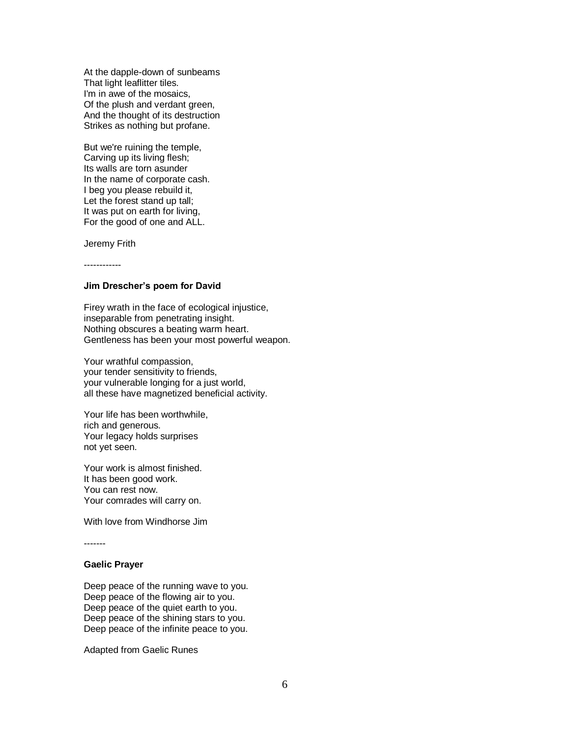At the dapple-down of sunbeams That light leaflitter tiles. I'm in awe of the mosaics, Of the plush and verdant green, And the thought of its destruction Strikes as nothing but profane.

But we're ruining the temple, Carving up its living flesh; Its walls are torn asunder In the name of corporate cash. I beg you please rebuild it, Let the forest stand up tall; It was put on earth for living, For the good of one and ALL.

Jeremy Frith

------------

### **Jim Drescher's poem for David**

Firey wrath in the face of ecological injustice, inseparable from penetrating insight. Nothing obscures a beating warm heart. Gentleness has been your most powerful weapon.

Your wrathful compassion, your tender sensitivity to friends, your vulnerable longing for a just world, all these have magnetized beneficial activity.

Your life has been worthwhile, rich and generous. Your legacy holds surprises not yet seen.

Your work is almost finished. It has been good work. You can rest now. Your comrades will carry on.

With love from Windhorse Jim

-------

## **Gaelic Prayer**

Deep peace of the running wave to you. Deep peace of the flowing air to you. Deep peace of the quiet earth to you. Deep peace of the shining stars to you. Deep peace of the infinite peace to you.

Adapted from Gaelic Runes